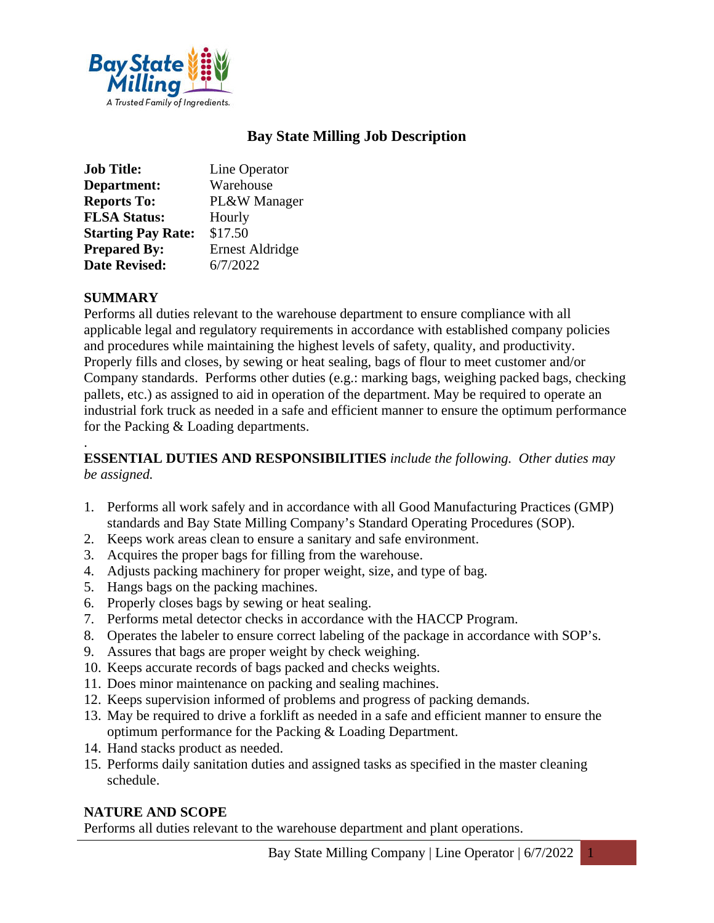

# **Bay State Milling Job Description**

| <b>Job Title:</b>         | Line Operator          |
|---------------------------|------------------------|
| Department:               | Warehouse              |
| <b>Reports To:</b>        | PL&W Manager           |
| <b>FLSA Status:</b>       | Hourly                 |
| <b>Starting Pay Rate:</b> | \$17.50                |
| <b>Prepared By:</b>       | <b>Ernest Aldridge</b> |
| <b>Date Revised:</b>      | 6/7/2022               |

#### **SUMMARY**

Performs all duties relevant to the warehouse department to ensure compliance with all applicable legal and regulatory requirements in accordance with established company policies and procedures while maintaining the highest levels of safety, quality, and productivity. Properly fills and closes, by sewing or heat sealing, bags of flour to meet customer and/or Company standards. Performs other duties (e.g.: marking bags, weighing packed bags, checking pallets, etc.) as assigned to aid in operation of the department. May be required to operate an industrial fork truck as needed in a safe and efficient manner to ensure the optimum performance for the Packing & Loading departments.

#### . **ESSENTIAL DUTIES AND RESPONSIBILITIES** *include the following. Other duties may be assigned.*

- 1. Performs all work safely and in accordance with all Good Manufacturing Practices (GMP) standards and Bay State Milling Company's Standard Operating Procedures (SOP).
- 2. Keeps work areas clean to ensure a sanitary and safe environment.
- 3. Acquires the proper bags for filling from the warehouse.
- 4. Adjusts packing machinery for proper weight, size, and type of bag.
- 5. Hangs bags on the packing machines.
- 6. Properly closes bags by sewing or heat sealing.
- 7. Performs metal detector checks in accordance with the HACCP Program.
- 8. Operates the labeler to ensure correct labeling of the package in accordance with SOP's.
- 9. Assures that bags are proper weight by check weighing.
- 10. Keeps accurate records of bags packed and checks weights.
- 11. Does minor maintenance on packing and sealing machines.
- 12. Keeps supervision informed of problems and progress of packing demands.
- 13. May be required to drive a forklift as needed in a safe and efficient manner to ensure the optimum performance for the Packing & Loading Department.
- 14. Hand stacks product as needed.
- 15. Performs daily sanitation duties and assigned tasks as specified in the master cleaning schedule.

#### **NATURE AND SCOPE**

Performs all duties relevant to the warehouse department and plant operations.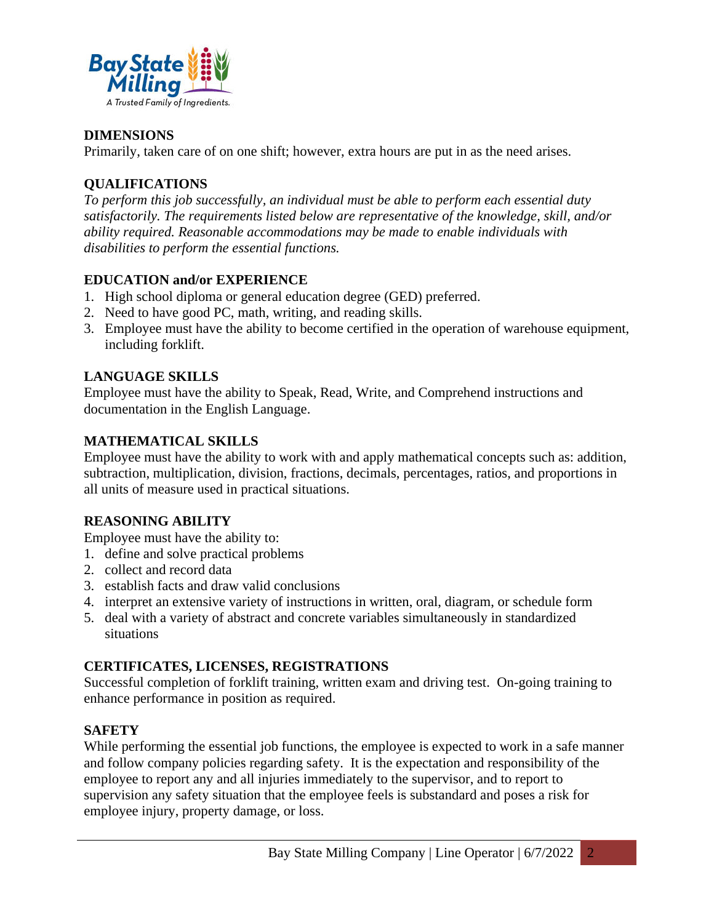

### **DIMENSIONS**

Primarily, taken care of on one shift; however, extra hours are put in as the need arises.

## **QUALIFICATIONS**

*To perform this job successfully, an individual must be able to perform each essential duty satisfactorily. The requirements listed below are representative of the knowledge, skill, and/or ability required. Reasonable accommodations may be made to enable individuals with disabilities to perform the essential functions.*

## **EDUCATION and/or EXPERIENCE**

- 1. High school diploma or general education degree (GED) preferred.
- 2. Need to have good PC, math, writing, and reading skills.
- 3. Employee must have the ability to become certified in the operation of warehouse equipment, including forklift.

### **LANGUAGE SKILLS**

Employee must have the ability to Speak, Read, Write, and Comprehend instructions and documentation in the English Language.

### **MATHEMATICAL SKILLS**

Employee must have the ability to work with and apply mathematical concepts such as: addition, subtraction, multiplication, division, fractions, decimals, percentages, ratios, and proportions in all units of measure used in practical situations.

## **REASONING ABILITY**

Employee must have the ability to:

- 1. define and solve practical problems
- 2. collect and record data
- 3. establish facts and draw valid conclusions
- 4. interpret an extensive variety of instructions in written, oral, diagram, or schedule form
- 5. deal with a variety of abstract and concrete variables simultaneously in standardized situations

#### **CERTIFICATES, LICENSES, REGISTRATIONS**

Successful completion of forklift training, written exam and driving test. On-going training to enhance performance in position as required.

## **SAFETY**

While performing the essential job functions, the employee is expected to work in a safe manner and follow company policies regarding safety. It is the expectation and responsibility of the employee to report any and all injuries immediately to the supervisor, and to report to supervision any safety situation that the employee feels is substandard and poses a risk for employee injury, property damage, or loss.